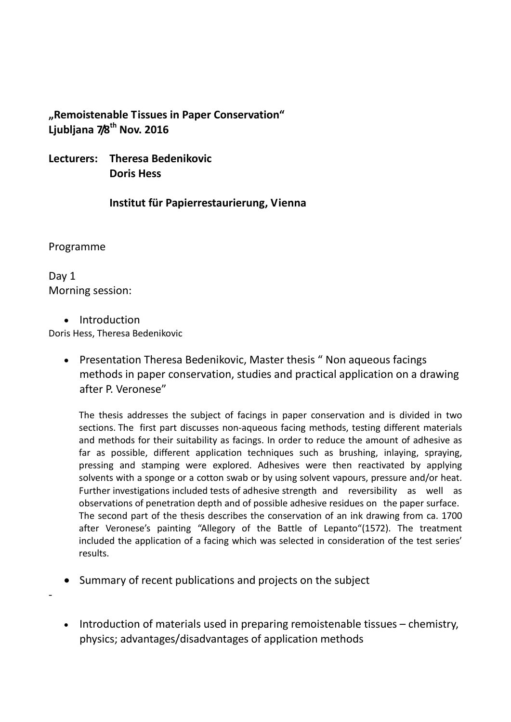# **"Remoistenable Tissues in Paper Conservation" Ljubljana 7/8th Nov. 2016**

**Lecturers: Theresa Bedenikovic Doris Hess**

**Institut für Papierrestaurierung, Vienna**

Programme

-

Day 1 Morning session:

• Introduction

Doris Hess, Theresa Bedenikovic

• Presentation Theresa Bedenikovic, Master thesis " Non aqueous facings methods in paper conservation, studies and practical application on a drawing after P. Veronese"

The thesis addresses the subject of facings in paper conservation and is divided in two sections. The first part discusses non-aqueous facing methods, testing different materials and methods for their suitability as facings. In order to reduce the amount of adhesive as far as possible, different application techniques such as brushing, inlaying, spraying, pressing and stamping were explored. Adhesives were then reactivated by applying solvents with a sponge or a cotton swab or by using solvent vapours, pressure and/or heat. Further investigations included tests of adhesive strength and reversibility as well as observations of penetration depth and of possible adhesive residues on the paper surface. The second part of the thesis describes the conservation of an ink drawing from ca. 1700 after Veronese's painting "Allegory of the Battle of Lepanto"(1572). The treatment included the application of a facing which was selected in consideration of the test series' results.

- Summary of recent publications and projects on the subject
- Introduction of materials used in preparing remoistenable tissues chemistry, physics; advantages/disadvantages of application methods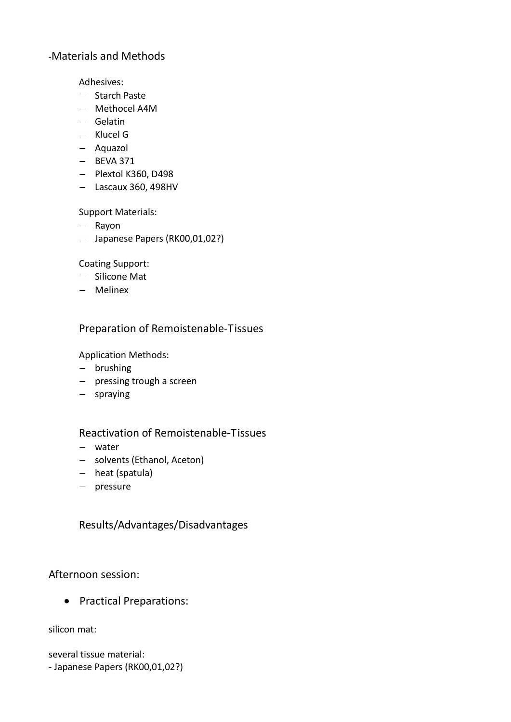# -Materials and Methods

Adhesives:

- − Starch Paste
- − Methocel A4M
- − Gelatin
- − Klucel G
- − Aquazol
- − BEVA 371
- − Plextol K360, D498
- − Lascaux 360, 498HV

Support Materials:

- − Rayon
- − Japanese Papers (RK00,01,02?)

Coating Support:

- − Silicone Mat
- − Melinex

# Preparation of Remoistenable-Tissues

Application Methods:

- − brushing
- − pressing trough a screen
- − spraying

# Reactivation of Remoistenable-Tissues

- − water
- − solvents (Ethanol, Aceton)
- − heat (spatula)
- − pressure

Results/Advantages/Disadvantages

Afternoon session:

• Practical Preparations:

silicon mat:

several tissue material: - Japanese Papers (RK00,01,02?)